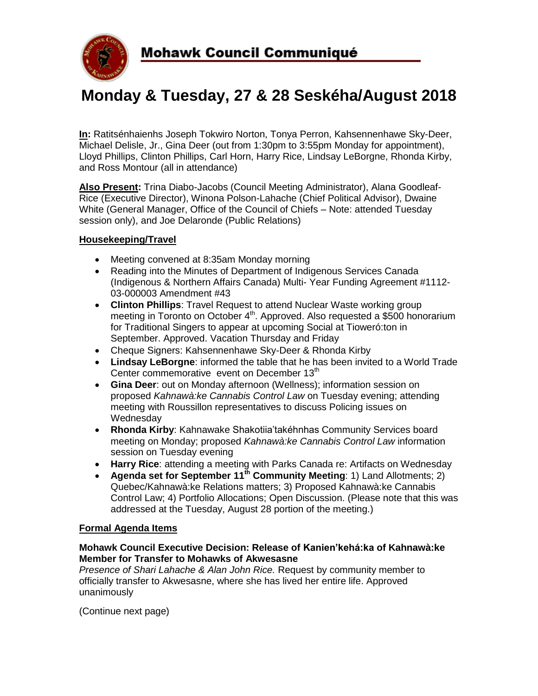

# **Monday & Tuesday, 27 & 28 Seskéha/August 2018**

**In:** Ratitsénhaienhs Joseph Tokwiro Norton, Tonya Perron, Kahsennenhawe Sky-Deer, Michael Delisle, Jr., Gina Deer (out from 1:30pm to 3:55pm Monday for appointment), Lloyd Phillips, Clinton Phillips, Carl Horn, Harry Rice, Lindsay LeBorgne, Rhonda Kirby, and Ross Montour (all in attendance)

**Also Present:** Trina Diabo-Jacobs (Council Meeting Administrator), Alana Goodleaf-Rice (Executive Director), Winona Polson-Lahache (Chief Political Advisor), Dwaine White (General Manager, Office of the Council of Chiefs – Note: attended Tuesday session only), and Joe Delaronde (Public Relations)

# **Housekeeping/Travel**

- Meeting convened at 8:35am Monday morning
- Reading into the Minutes of Department of Indigenous Services Canada (Indigenous & Northern Affairs Canada) Multi- Year Funding Agreement #1112- 03-000003 Amendment #43
- **Clinton Phillips**: Travel Request to attend Nuclear Waste working group meeting in Toronto on October 4<sup>th</sup>. Approved. Also requested a \$500 honorarium for Traditional Singers to appear at upcoming Social at Tioweró:ton in September. Approved. Vacation Thursday and Friday
- Cheque Signers: Kahsennenhawe Sky-Deer & Rhonda Kirby
- **Lindsay LeBorgne**: informed the table that he has been invited to a World Trade Center commemorative event on December 13<sup>th</sup>
- **Gina Deer**: out on Monday afternoon (Wellness); information session on proposed *Kahnawà:ke Cannabis Control Law* on Tuesday evening; attending meeting with Roussillon representatives to discuss Policing issues on **Wednesdav**
- **Rhonda Kirby**: Kahnawake Shakotiia'takéhnhas Community Services board meeting on Monday; proposed *Kahnawà:ke Cannabis Control Law* information session on Tuesday evening
- **Harry Rice**: attending a meeting with Parks Canada re: Artifacts on Wednesday
- **Agenda set for September 11th Community Meeting**: 1) Land Allotments; 2) Quebec/Kahnawà:ke Relations matters; 3) Proposed Kahnawà:ke Cannabis Control Law; 4) Portfolio Allocations; Open Discussion. (Please note that this was addressed at the Tuesday, August 28 portion of the meeting.)

# **Formal Agenda Items**

# **Mohawk Council Executive Decision: Release of Kanien'kehá:ka of Kahnawà:ke Member for Transfer to Mohawks of Akwesasne**

*Presence of Shari Lahache & Alan John Rice.* Request by community member to officially transfer to Akwesasne, where she has lived her entire life. Approved unanimously

(Continue next page)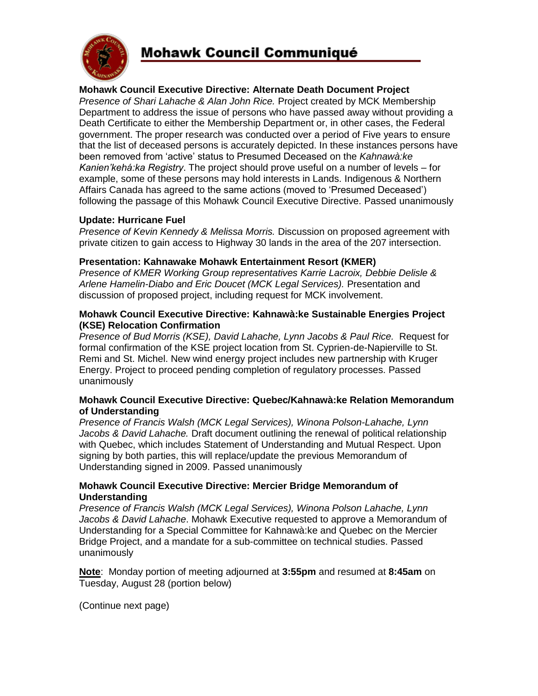

# **Mohawk Council Communiqué**

# **Mohawk Council Executive Directive: Alternate Death Document Project**

*Presence of Shari Lahache & Alan John Rice.* Project created by MCK Membership Department to address the issue of persons who have passed away without providing a Death Certificate to either the Membership Department or, in other cases, the Federal government. The proper research was conducted over a period of Five years to ensure that the list of deceased persons is accurately depicted. In these instances persons have been removed from 'active' status to Presumed Deceased on the *Kahnawà:ke Kanien'kehá:ka Registry*. The project should prove useful on a number of levels – for example, some of these persons may hold interests in Lands. Indigenous & Northern Affairs Canada has agreed to the same actions (moved to 'Presumed Deceased') following the passage of this Mohawk Council Executive Directive. Passed unanimously

#### **Update: Hurricane Fuel**

*Presence of Kevin Kennedy & Melissa Morris.* Discussion on proposed agreement with private citizen to gain access to Highway 30 lands in the area of the 207 intersection.

#### **Presentation: Kahnawake Mohawk Entertainment Resort (KMER)**

*Presence of KMER Working Group representatives Karrie Lacroix, Debbie Delisle & Arlene Hamelin-Diabo and Eric Doucet (MCK Legal Services).* Presentation and discussion of proposed project, including request for MCK involvement.

#### **Mohawk Council Executive Directive: Kahnawà:ke Sustainable Energies Project (KSE) Relocation Confirmation**

*Presence of Bud Morris (KSE), David Lahache, Lynn Jacobs & Paul Rice.* Request for formal confirmation of the KSE project location from St. Cyprien-de-Napierville to St. Remi and St. Michel. New wind energy project includes new partnership with Kruger Energy. Project to proceed pending completion of regulatory processes. Passed unanimously

#### **Mohawk Council Executive Directive: Quebec/Kahnawà:ke Relation Memorandum of Understanding**

*Presence of Francis Walsh (MCK Legal Services), Winona Polson-Lahache, Lynn Jacobs & David Lahache.* Draft document outlining the renewal of political relationship with Quebec, which includes Statement of Understanding and Mutual Respect. Upon signing by both parties, this will replace/update the previous Memorandum of Understanding signed in 2009. Passed unanimously

# **Mohawk Council Executive Directive: Mercier Bridge Memorandum of Understanding**

*Presence of Francis Walsh (MCK Legal Services), Winona Polson Lahache, Lynn Jacobs & David Lahache*. Mohawk Executive requested to approve a Memorandum of Understanding for a Special Committee for Kahnawà:ke and Quebec on the Mercier Bridge Project, and a mandate for a sub-committee on technical studies. Passed unanimously

**Note**: Monday portion of meeting adjourned at **3:55pm** and resumed at **8:45am** on Tuesday, August 28 (portion below)

(Continue next page)